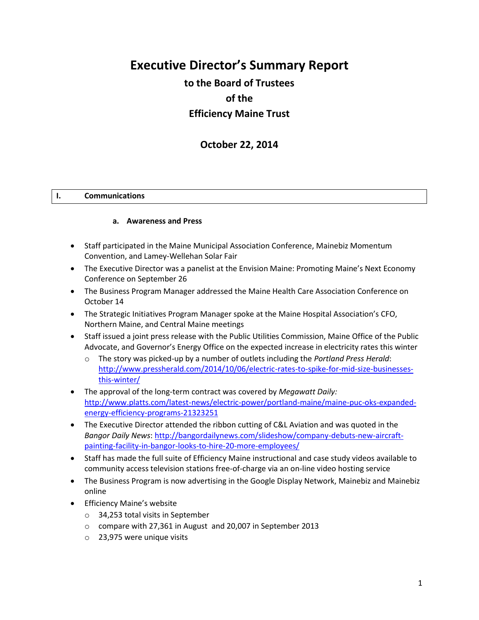# **Executive Director's Summary Report**

## **to the Board of Trustees of the Efficiency Maine Trust**

## **October 22, 2014**

#### **I. Communications**

#### **a. Awareness and Press**

- Staff participated in the Maine Municipal Association Conference, Mainebiz Momentum Convention, and Lamey-Wellehan Solar Fair
- The Executive Director was a panelist at the Envision Maine: Promoting Maine's Next Economy Conference on September 26
- The Business Program Manager addressed the Maine Health Care Association Conference on October 14
- The Strategic Initiatives Program Manager spoke at the Maine Hospital Association's CFO, Northern Maine, and Central Maine meetings
- Staff issued a joint press release with the Public Utilities Commission, Maine Office of the Public Advocate, and Governor's Energy Office on the expected increase in electricity rates this winter
	- o The story was picked-up by a number of outlets including the *Portland Press Herald*: [http://www.pressherald.com/2014/10/06/electric-rates-to-spike-for-mid-size-businesses](http://www.pressherald.com/2014/10/06/electric-rates-to-spike-for-mid-size-businesses-this-winter/)[this-winter/](http://www.pressherald.com/2014/10/06/electric-rates-to-spike-for-mid-size-businesses-this-winter/)
- The approval of the long-term contract was covered by *Megawatt Daily:*  [http://www.platts.com/latest-news/electric-power/portland-maine/maine-puc-oks-expanded](http://www.platts.com/latest-news/electric-power/portland-maine/maine-puc-oks-expanded-energy-efficiency-programs-21323251)[energy-efficiency-programs-21323251](http://www.platts.com/latest-news/electric-power/portland-maine/maine-puc-oks-expanded-energy-efficiency-programs-21323251)
- The Executive Director attended the ribbon cutting of C&L Aviation and was quoted in the *Bangor Daily News*[: http://bangordailynews.com/slideshow/company-debuts-new-aircraft](http://bangordailynews.com/slideshow/company-debuts-new-aircraft-painting-facility-in-bangor-looks-to-hire-20-more-employees/)[painting-facility-in-bangor-looks-to-hire-20-more-employees/](http://bangordailynews.com/slideshow/company-debuts-new-aircraft-painting-facility-in-bangor-looks-to-hire-20-more-employees/)
- Staff has made the full suite of Efficiency Maine instructional and case study videos available to community access television stations free-of-charge via an on-line video hosting service
- The Business Program is now advertising in the Google Display Network, Mainebiz and Mainebiz online
- Efficiency Maine's website
	- o 34,253 total visits in September
	- o compare with 27,361 in August and 20,007 in September 2013
	- o 23,975 were unique visits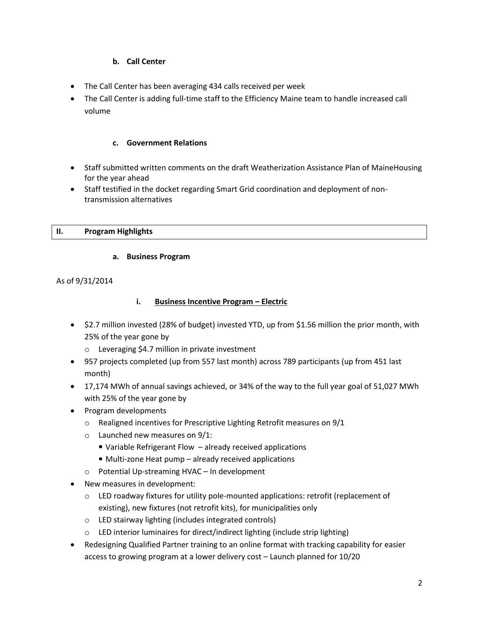## **b. Call Center**

- The Call Center has been averaging 434 calls received per week
- The Call Center is adding full-time staff to the Efficiency Maine team to handle increased call volume

## **c. Government Relations**

- Staff submitted written comments on the draft Weatherization Assistance Plan of MaineHousing for the year ahead
- Staff testified in the docket regarding Smart Grid coordination and deployment of nontransmission alternatives

## **II. Program Highlights**

## **a. Business Program**

As of 9/31/2014

## **i. Business Incentive Program – Electric**

- \$2.7 million invested (28% of budget) invested YTD, up from \$1.56 million the prior month, with 25% of the year gone by
	- o Leveraging \$4.7 million in private investment
- 957 projects completed (up from 557 last month) across 789 participants (up from 451 last month)
- 17,174 MWh of annual savings achieved, or 34% of the way to the full year goal of 51,027 MWh with 25% of the year gone by
- Program developments
	- o Realigned incentives for Prescriptive Lighting Retrofit measures on 9/1
	- o Launched new measures on 9/1:
		- Variable Refrigerant Flow already received applications
		- Multi-zone Heat pump already received applications
	- o Potential Up-streaming HVAC In development
- New measures in development:
	- $\circ$  LED roadway fixtures for utility pole-mounted applications: retrofit (replacement of existing), new fixtures (not retrofit kits), for municipalities only
	- o LED stairway lighting (includes integrated controls)
	- o LED interior luminaires for direct/indirect lighting (include strip lighting)
- Redesigning Qualified Partner training to an online format with tracking capability for easier access to growing program at a lower delivery cost – Launch planned for 10/20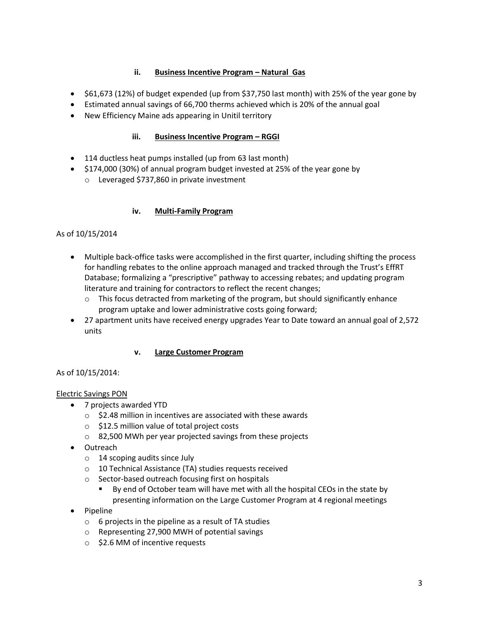## **ii.** Business Incentive Program - Natural Gas

- \$61,673 (12%) of budget expended (up from \$37,750 last month) with 25% of the year gone by
- Estimated annual savings of 66,700 therms achieved which is 20% of the annual goal
- New Efficiency Maine ads appearing in Unitil territory

## **iii. Business Incentive Program – RGGI**

- 114 ductless heat pumps installed (up from 63 last month)
- \$174,000 (30%) of annual program budget invested at 25% of the year gone by
	- o Leveraged \$737,860 in private investment

#### **iv. Multi-Family Program**

#### As of 10/15/2014

- Multiple back-office tasks were accomplished in the first quarter, including shifting the process for handling rebates to the online approach managed and tracked through the Trust's EffRT Database; formalizing a "prescriptive" pathway to accessing rebates; and updating program literature and training for contractors to reflect the recent changes;
	- $\circ$  This focus detracted from marketing of the program, but should significantly enhance program uptake and lower administrative costs going forward;
- 27 apartment units have received energy upgrades Year to Date toward an annual goal of 2,572 units

#### **v. Large Customer Program**

#### As of 10/15/2014:

#### Electric Savings PON

- 7 projects awarded YTD
	- $\circ$  \$2.48 million in incentives are associated with these awards
	- o \$12.5 million value of total project costs
	- o 82,500 MWh per year projected savings from these projects
- Outreach
	- o 14 scoping audits since July
	- o 10 Technical Assistance (TA) studies requests received
	- o Sector-based outreach focusing first on hospitals
		- By end of October team will have met with all the hospital CEOs in the state by presenting information on the Large Customer Program at 4 regional meetings
- Pipeline
	- $\circ$  6 projects in the pipeline as a result of TA studies
	- o Representing 27,900 MWH of potential savings
	- o \$2.6 MM of incentive requests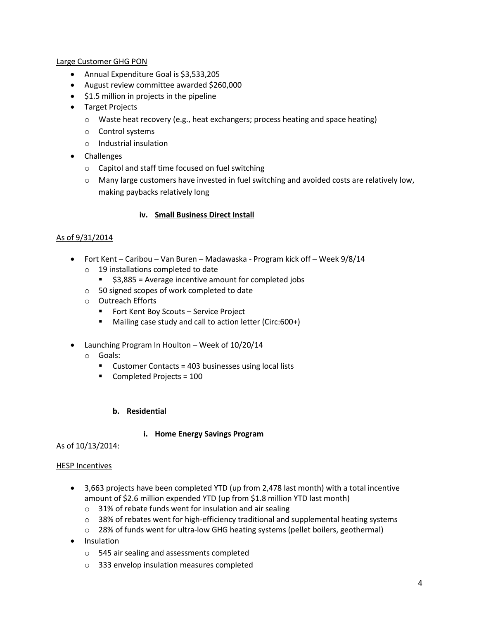#### Large Customer GHG PON

- Annual Expenditure Goal is \$3,533,205
- August review committee awarded \$260,000
- $\bullet$  \$1.5 million in projects in the pipeline
- Target Projects
	- o Waste heat recovery (e.g., heat exchangers; process heating and space heating)
	- o Control systems
	- o Industrial insulation
- Challenges
	- o Capitol and staff time focused on fuel switching
	- o Many large customers have invested in fuel switching and avoided costs are relatively low, making paybacks relatively long

#### **iv. Small Business Direct Install**

#### As of 9/31/2014

- Fort Kent Caribou Van Buren Madawaska Program kick off Week 9/8/14
	- o 19 installations completed to date
		- \$3,885 = Average incentive amount for completed jobs
	- o 50 signed scopes of work completed to date
	- o Outreach Efforts
		- **Fort Kent Boy Scouts Service Project**
		- Mailing case study and call to action letter (Circ:600+)
- Launching Program In Houlton Week of 10/20/14
	- o Goals:
		- **Customer Contacts = 403 businesses using local lists**
		- **Completed Projects = 100**

#### **b. Residential**

#### **i. Home Energy Savings Program**

As of 10/13/2014:

#### HESP Incentives

- 3,663 projects have been completed YTD (up from 2,478 last month) with a total incentive amount of \$2.6 million expended YTD (up from \$1.8 million YTD last month)
	- o 31% of rebate funds went for insulation and air sealing
	- $\circ$  38% of rebates went for high-efficiency traditional and supplemental heating systems
	- o 28% of funds went for ultra-low GHG heating systems (pellet boilers, geothermal)
- Insulation
	- o 545 air sealing and assessments completed
	- o 333 envelop insulation measures completed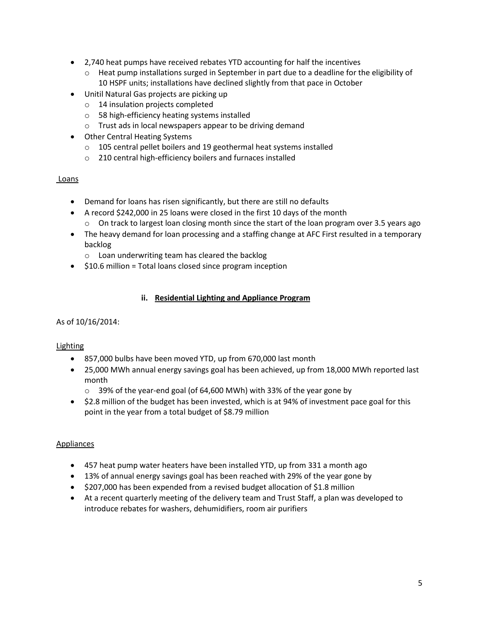- 2,740 heat pumps have received rebates YTD accounting for half the incentives
	- o Heat pump installations surged in September in part due to a deadline for the eligibility of 10 HSPF units; installations have declined slightly from that pace in October
- Unitil Natural Gas projects are picking up
	- o 14 insulation projects completed
	- o 58 high-efficiency heating systems installed
	- o Trust ads in local newspapers appear to be driving demand
- Other Central Heating Systems
	- o 105 central pellet boilers and 19 geothermal heat systems installed
	- o 210 central high-efficiency boilers and furnaces installed

## Loans

- Demand for loans has risen significantly, but there are still no defaults
- A record \$242,000 in 25 loans were closed in the first 10 days of the month
	- $\circ$  On track to largest loan closing month since the start of the loan program over 3.5 years ago
- The heavy demand for loan processing and a staffing change at AFC First resulted in a temporary backlog
	- o Loan underwriting team has cleared the backlog
- $\bullet$  \$10.6 million = Total loans closed since program inception

## **ii. Residential Lighting and Appliance Program**

## As of 10/16/2014:

## Lighting

- 857,000 bulbs have been moved YTD, up from 670,000 last month
- 25,000 MWh annual energy savings goal has been achieved, up from 18,000 MWh reported last month
	- o 39% of the year-end goal (of 64,600 MWh) with 33% of the year gone by
- \$2.8 million of the budget has been invested, which is at 94% of investment pace goal for this point in the year from a total budget of \$8.79 million

## Appliances

- 457 heat pump water heaters have been installed YTD, up from 331 a month ago
- 13% of annual energy savings goal has been reached with 29% of the year gone by
- \$207,000 has been expended from a revised budget allocation of \$1.8 million
- At a recent quarterly meeting of the delivery team and Trust Staff, a plan was developed to introduce rebates for washers, dehumidifiers, room air purifiers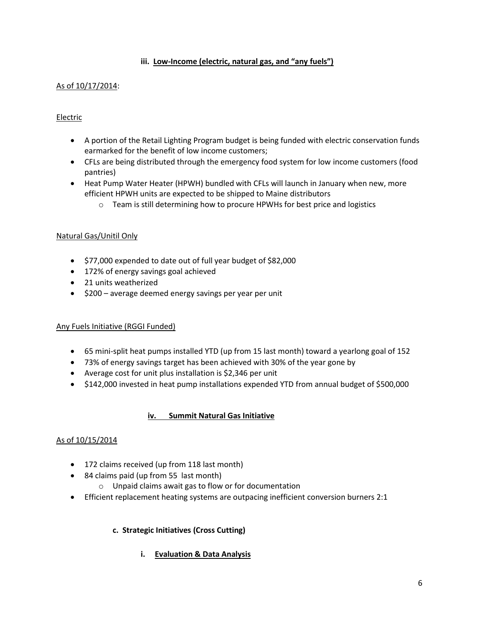## **iii. Low-Income (electric, natural gas, and "any fuels")**

## As of 10/17/2014:

## Electric

- A portion of the Retail Lighting Program budget is being funded with electric conservation funds earmarked for the benefit of low income customers;
- CFLs are being distributed through the emergency food system for low income customers (food pantries)
- Heat Pump Water Heater (HPWH) bundled with CFLs will launch in January when new, more efficient HPWH units are expected to be shipped to Maine distributors
	- o Team is still determining how to procure HPWHs for best price and logistics

#### Natural Gas/Unitil Only

- \$77,000 expended to date out of full year budget of \$82,000
- 172% of energy savings goal achieved
- 21 units weatherized
- $\bullet$  \$200 average deemed energy savings per year per unit

#### Any Fuels Initiative (RGGI Funded)

- 65 mini-split heat pumps installed YTD (up from 15 last month) toward a yearlong goal of 152
- 73% of energy savings target has been achieved with 30% of the year gone by
- Average cost for unit plus installation is \$2,346 per unit
- \$142,000 invested in heat pump installations expended YTD from annual budget of \$500,000

#### **iv. Summit Natural Gas Initiative**

#### As of 10/15/2014

- 172 claims received (up from 118 last month)
- 84 claims paid (up from 55 last month)
	- o Unpaid claims await gas to flow or for documentation
- Efficient replacement heating systems are outpacing inefficient conversion burners 2:1

#### **c. Strategic Initiatives (Cross Cutting)**

**i. Evaluation & Data Analysis**